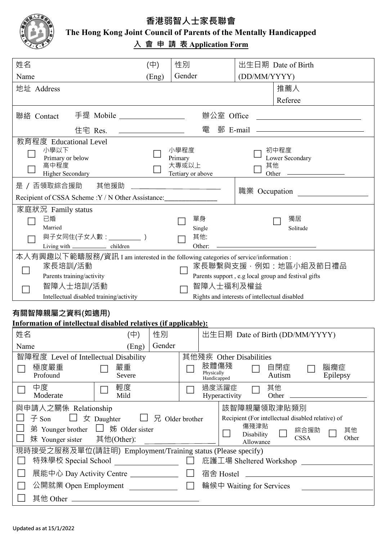

**香港弱智人士家長聯會 The Hong Kong Joint Council of Parents of the Mentally Handicapped**

# **入 會 申 請 表 Application Form**

| 姓名                                                                                                                                                                                                                                                                                                 | (中)                                             | 性別                                            |                                   | 出生日期 Date of Birth                                                                                                   |  |
|----------------------------------------------------------------------------------------------------------------------------------------------------------------------------------------------------------------------------------------------------------------------------------------------------|-------------------------------------------------|-----------------------------------------------|-----------------------------------|----------------------------------------------------------------------------------------------------------------------|--|
| Name                                                                                                                                                                                                                                                                                               | (Eng)                                           | Gender                                        |                                   | (DD/MM/YYYY)                                                                                                         |  |
| 地址 Address                                                                                                                                                                                                                                                                                         |                                                 |                                               |                                   | 推薦人                                                                                                                  |  |
|                                                                                                                                                                                                                                                                                                    |                                                 |                                               |                                   | Referee                                                                                                              |  |
| 手提 Mobile ________<br>聯絡 Contact                                                                                                                                                                                                                                                                   |                                                 |                                               | 辦公室 Office                        | <u> 1980 - Jan Stein Stein Stein Stein Stein Stein Stein Stein Stein Stein Stein Stein Stein Stein Stein Stein S</u> |  |
| 住宅 Res.                                                                                                                                                                                                                                                                                            | <u> 1989 - Andrea Amerikaanse kommunister (</u> |                                               | 電<br>$\mathbb{H}$ E-mail          | <u> Alexandria de la contrada de la contrada de la contrada de la contrada de la contrada de la contrada de la c</u> |  |
| 教育程度 Educational Level<br>小學以下<br>Primary or below<br>高中程度<br><b>Higher Secondary</b>                                                                                                                                                                                                              |                                                 | 小學程度<br>Primary<br>大專或以上<br>Tertiary or above |                                   | 初中程度<br>Lower Secondary<br>其他<br>Other ————————                                                                      |  |
| 是 / 否領取綜合援助<br>其他援助                                                                                                                                                                                                                                                                                |                                                 |                                               |                                   |                                                                                                                      |  |
| Recipient of CSSA Scheme :Y / N Other Assistance:                                                                                                                                                                                                                                                  |                                                 |                                               |                                   | 職業 Occupation                                                                                                        |  |
| 家庭狀況 Family status<br>已婚<br>Married<br>與子女同住(子女人數: __________)                                                                                                                                                                                                                                     |                                                 | 單身<br>Single<br>其他:<br>Other:                 |                                   | 獨居<br>Solitude                                                                                                       |  |
| 本人有興趣以下範疇服務/資訊 I am interested in the following categories of service/information :<br>家長聯繫與支援,例如:地區小組及節日禮品<br>家長培訓/活動                                                                                                                                                                             |                                                 |                                               |                                   |                                                                                                                      |  |
| Parents training/activity                                                                                                                                                                                                                                                                          |                                                 |                                               |                                   | Parents support, e.g local group and festival gifts                                                                  |  |
| 智障人士培訓/活動<br>智障人士福利及權益                                                                                                                                                                                                                                                                             |                                                 |                                               |                                   |                                                                                                                      |  |
| Intellectual disabled training/activity<br>Rights and interests of intellectual disabled                                                                                                                                                                                                           |                                                 |                                               |                                   |                                                                                                                      |  |
| 有關智障親屬之資料(如適用)<br>Information of intellectual disabled relatives (if applicable):                                                                                                                                                                                                                  |                                                 |                                               |                                   |                                                                                                                      |  |
| 姓名<br>$(\oplus)$                                                                                                                                                                                                                                                                                   | 性別                                              |                                               |                                   | 出生日期 Date of Birth (DD/MM/YYYY)                                                                                      |  |
| Name                                                                                                                                                                                                                                                                                               | Gender<br>(Eng)                                 |                                               |                                   |                                                                                                                      |  |
| 智障程度 Level of Intellectual Disability                                                                                                                                                                                                                                                              |                                                 |                                               |                                   | 其他殘疾 Other Disabilities                                                                                              |  |
| 嚴重<br>極度嚴重<br>Profound<br>Severe                                                                                                                                                                                                                                                                   |                                                 |                                               | 肢體傷殘<br>Physically<br>Handicapped | 自閉症<br>腦癇症<br>Autism<br>Epilepsy                                                                                     |  |
| 中度<br>輕度<br>Moderate<br>Mild                                                                                                                                                                                                                                                                       |                                                 |                                               | 過度活躍症<br>Hyperactivity            | 其他<br>Other                                                                                                          |  |
| 該智障親屬領取津貼類別<br>與申請人之關係 Relationship<br>女 Daughter<br>$\perp$<br>$\pm$ Son<br>兄 Older brother<br>Recipient (For intellectual disabled relative) of<br>傷殘津貼<br>弟 Younger brother □ 姊 Older sister<br>綜合援助<br>其他<br>Disability<br><b>CSSA</b><br>Other<br>妹 Younger sister<br>其他(Other):<br>Allowance |                                                 |                                               |                                   |                                                                                                                      |  |
| 現時接受之服務及單位(請註明) Employment/Training status (Please specify)                                                                                                                                                                                                                                        |                                                 |                                               |                                   |                                                                                                                      |  |
| 特殊學校 Special School _____________________ □                                                                                                                                                                                                                                                        |                                                 |                                               |                                   | 庇護工場 Sheltered Workshop ______________                                                                               |  |
| 展能中心 Day Activity Centre _______________ □<br>$\overline{\phantom{0}}$                                                                                                                                                                                                                             |                                                 |                                               |                                   |                                                                                                                      |  |
| 公開就業 Open Employment ____________                                                                                                                                                                                                                                                                  |                                                 | $\Box$                                        |                                   | 輪候中 Waiting for Services                                                                                             |  |
|                                                                                                                                                                                                                                                                                                    |                                                 |                                               |                                   |                                                                                                                      |  |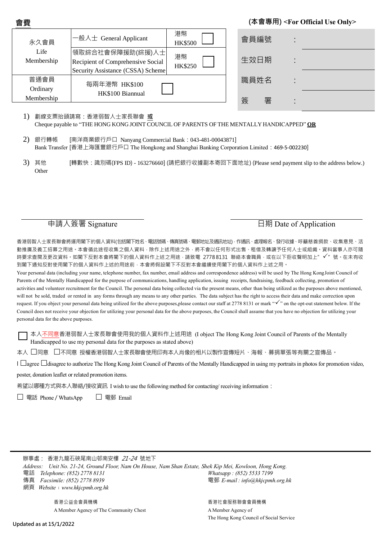| ᄇᄝ                             |                                                                                            |                      |
|--------------------------------|--------------------------------------------------------------------------------------------|----------------------|
| 永久會員                           | 一般人士 General Applicant                                                                     | 港幣<br><b>HK\$500</b> |
| Life<br>Membership             | 領取綜合社會保障援助(綜援)人士<br>Recipient of Comprehensive Social<br>Security Assistance (CSSA) Scheme | 港幣<br><b>HK\$250</b> |
| 普通會員<br>Ordinary<br>Membership | 每兩年港幣 HK\$100<br>HK\$100 Biannual                                                          |                      |

#### **(本會專用) <For Official Use Only>**

| 會員編號   |  |
|--------|--|
| 生效日期   |  |
| 職員姓名   |  |
| 簽<br>署 |  |

#### 1) 劃線支票抬頭請寫:香港弱智人士家長聯會 **或** Cheque payable to "THE HONG KONG JOINT COUNCIL OF PARENTS OF THE MENTALLY HANDICAPPED" **OR**

- 2) 銀行轉帳 [南洋商業銀行戶口 Nanyang Commercial Bank:043-481-00043871] Bank Transfer [香港上海匯豐銀行戶口 The Hongkong and Shanghai Banking Corporation Limited: 469-5-002230]
- 3) 其他 [轉數快:識別碼(FPS ID) 163276660] (請把銀行收據副本寄回下面地址) (Please send payment slip to the address below.) **Other**

**會費**

## **申請人簽署 Signature <br>
日期 Date of Application**

香港弱智人士家長聯會將運用閣下的個人資料(包括閣下姓名、電話號碼、傳真號碼、電郵地址及通訊地址),作通訊、處理報名、發行收據、呼籲慈善捐款、收集意見、活 動推廣及義工招募之用途。本會循此途徑收集之個人資料,除作上述用途之外,將不會以任何形式出售、租借及轉讓予任何人士或組織。資料當事人亦可隨 時要求查閱及更改資料。如閣下反對本會將閣下的個人資料作上述之用途,請致電 2778 8131 聯絡本會職員,或在以下拒收聲明加上"√"號。在未有收 到閣下通知反對使用閣下的個人資料作上述的用途前,本會將假設閣下不反對本會繼續使用閣下的個人資料作上述之用。

Your personal data (including your name, telephone number, fax number, email address and correspondence address) will be used by The Hong KongJoint Council of Parents of the Mentally Handicapped for the purpose of communications, handling application, issuing receipts, fundraising, feedback collecting, promotion of activities and volunteer recruitment for the Council. The personal data being collected via the present means, other than being utilized as the purposes above mentioned, will not be sold, traded or rented in any forms through any means to any other parties. The data subject has the right to access their data and make correction upon request. If you object your personal data being utilized for the above purposes,please contact our staff at 2778 8131 or mark " $\checkmark$ " on the opt-out statement below. If the Council does not receive your objection for utilizing your personal data for the above purposes, the Council shall assume that you have no objection for utilizing your personal data for the above purposes.

本人不同意香港弱智人士家長聯會使用我的個人資料作上述用途 (I object The Hong Kong Joint Council of Parents of the Mentally Handicapped to use my personal data for the purposes as stated above)

本人 □同意 □不同意 授權香港弱智人士家長聯會使用印有本人肖像的相片以製作宣傳短片、海報、募捐單張等有關之宣傳品。

 $\Box$  agree  $\Box$  disagree to authorize The Hong Kong Joint Council of Parents of the Mentally Handicapped in using my portraits in photos for promotion video, poster, donation leaflet or related promotion items.

希望以哪種方式與本人聯絡/接收資訊 I wish to use the following method for contacting/ receiving information:

 $\Box$  電話 Phone / WhatsApp  $\Box$  電郵 Email

辦事處: 香港九龍石硤尾南山邨南安樓 21-24 號地下 Address: Unit No. 21-24, Ground Floor, Nam On House, Nam Shan Estate, Shek Kip Mei, Kowloon, Hong Kong. 電話 *Telephone: (852) 2778 8131 Whatsapp : [\(852\)](http://www.hkjcpmh.org.hk/) 5533 7199* 傳真 *Facsimile: (852) 2778 8939* 電郵 *E-mail : info@hkjcpmh.org.hk* 網頁 *Website*﹕*[www.hkjcpmh.org.hk](http://www.hkjcpmh.org.hk/)*

> 香港公益金會員機構 香港公益金庫 香港社會服務聯會會員機構 A Member Agency of The Community Chest A Member Agency of

**Updated as at 15/1/2022**

The Hong Kong Council of Social Service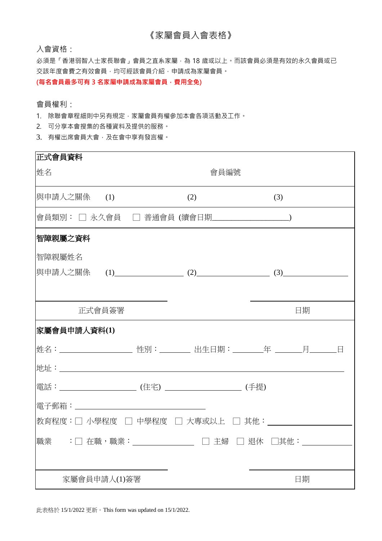## 《家屬會員入會表格》

入會資格:

必須是「香港弱智人士家長聯會」會員之直系家屬,為 18 歲或以上。而該會員必須是有效的永久會員或已 交該年度會費之有效會員,均可經該會員介紹,申請成為家屬會員。 **(每名會員最多可有 3 名家屬申請成為家屬會員,費用全免)**

### 會員權利:

- 1. 除聯會章程細則中另有規定,家屬會員有權參加本會各項活動及工作。
- 2. 可分享本會搜集的各種資料及提供的服務。
- 3. 有權出席會員大會,及在會中享有發言權。

| 正式會員資料                                   |                                                      |      |                   |  |
|------------------------------------------|------------------------------------------------------|------|-------------------|--|
| 姓名                                       |                                                      | 會員編號 |                   |  |
| 與申請人之關係 (1)                              |                                                      | (2)  | (3)               |  |
|                                          | 會員類別: □ 永久會員 □ 普通會員 (續會日期__________)                 |      |                   |  |
| 智障親屬之資料                                  |                                                      |      |                   |  |
| 智障親屬姓名                                   |                                                      |      |                   |  |
|                                          |                                                      |      |                   |  |
|                                          | <u> 1989 - Johann Barbara, martxa alemaniar a</u>    |      |                   |  |
|                                          | 正式會員簽署                                               |      | 日期                |  |
| 家屬會員申請人資料(1)                             |                                                      |      |                   |  |
|                                          |                                                      |      |                   |  |
|                                          |                                                      |      | $\frac{1}{2}$ 地址: |  |
|                                          | 電話: ____________________(住宅) ___________________(手提) |      |                   |  |
|                                          |                                                      |      |                   |  |
| 教育程度:□ 小學程度 □ 中學程度 □ 大專或以上 □ 其他:________ |                                                      |      |                   |  |
| 職業 :□ 在職,職業:                             |                                                      |      | □ 主婦 □ 退休 □其他:    |  |
|                                          |                                                      |      |                   |  |
|                                          | 家屬會員申請人(1)簽署                                         |      | 日期                |  |